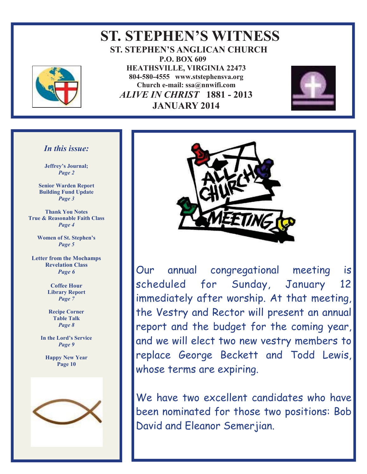

 **ST. STEPHEN'S WITNESS ST. STEPHEN'S ANGLICAN CHURCH P.O. BOX 609 HEATHSVILLE, VIRGINIA 22473 804-580-4555 www.ststephensva.org Church e-mail: ssa@nnwifi.com**   *ALIVE IN CHRIST* **1881 - 2013 JANUARY 2014**



### *In this issue:*

**Jeffrey's Journal;** *Page 2* 

**Senior Warden Report Building Fund Update**  *Page 3* 

**Thank You Notes True & Reasonable Faith Class**  *Page 4* 

> **Women of St. Stephen's** *Page 5*

**Letter from the Mochamps Revelation Class**  *Page 6* 

> **Coffee Hour Library Report**  *Page 7*

**Recipe Corner Table Talk**  *Page 8* 

**In the Lord's Service** *Page 9* 

**Happy New Year Page 10** 





Our annual congregational meeting is scheduled for Sunday, January 12 immediately after worship. At that meeting, the Vestry and Rector will present an annual report and the budget for the coming year, and we will elect two new vestry members to replace George Beckett and Todd Lewis, whose terms are expiring.

We have two excellent candidates who have been nominated for those two positions: Bob David and Eleanor Semerjian.

I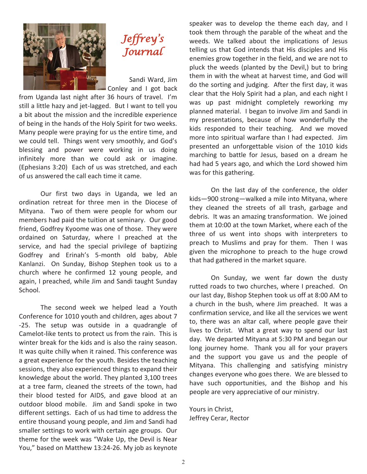



 Sandi Ward, Jim Conley and I got back

from Uganda last night after 36 hours of travel. I'm still a little hazy and jet-lagged. But I want to tell you a bit about the mission and the incredible experience of being in the hands of the Holy Spirit for two weeks. Many people were praying for us the entire time, and we could tell. Things went very smoothly, and God's blessing and power were working in us doing infinitely more than we could ask or imagine. (Ephesians 3:20) Each of us was stretched, and each of us answered the call each time it came.

 Our first two days in Uganda, we led an ordination retreat for three men in the Diocese of Mityana. Two of them were people for whom our members had paid the tuition at seminary. Our good friend, Godfrey Kyoome was one of those. They were ordained on Saturday, where I preached at the service, and had the special privilege of baptizing Godfrey and Erinah's 5-month old baby, Able Kanlanzi. On Sunday, Bishop Stephen took us to a church where he confirmed 12 young people, and again, I preached, while Jim and Sandi taught Sunday School.

 The second week we helped lead a Youth Conference for 1010 youth and children, ages about 7 -25. The setup was outside in a quadrangle of Camelot-like tents to protect us from the rain. This is winter break for the kids and is also the rainy season. It was quite chilly when it rained. This conference was a great experience for the youth. Besides the teaching sessions, they also experienced things to expand their knowledge about the world. They planted 3,100 trees at a tree farm, cleaned the streets of the town, had their blood tested for AIDS, and gave blood at an outdoor blood mobile. Jim and Sandi spoke in two different settings. Each of us had time to address the entire thousand young people, and Jim and Sandi had smaller settings to work with certain age groups. Our theme for the week was "Wake Up, the Devil is Near You," based on Matthew 13:24-26. My job as keynote

speaker was to develop the theme each day, and I took them through the parable of the wheat and the weeds. We talked about the implications of Jesus telling us that God intends that His disciples and His enemies grow together in the field, and we are not to pluck the weeds (planted by the Devil,) but to bring them in with the wheat at harvest time, and God will do the sorting and judging. After the first day, it was clear that the Holy Spirit had a plan, and each night I was up past midnight completely reworking my planned material. I began to involve Jim and Sandi in my presentations, because of how wonderfully the kids responded to their teaching. And we moved more into spiritual warfare than I had expected. Jim presented an unforgettable vision of the 1010 kids marching to battle for Jesus, based on a dream he had had 5 years ago, and which the Lord showed him was for this gathering.

 On the last day of the conference, the older kids—900 strong—walked a mile into Mityana, where they cleaned the streets of all trash, garbage and debris. It was an amazing transformation. We joined them at 10:00 at the town Market, where each of the three of us went into shops with interpreters to preach to Muslims and pray for them. Then I was given the microphone to preach to the huge crowd that had gathered in the market square.

 On Sunday, we went far down the dusty rutted roads to two churches, where I preached. On our last day, Bishop Stephen took us off at 8:00 AM to a church in the bush, where Jim preached. It was a confirmation service, and like all the services we went to, there was an altar call, where people gave their lives to Christ. What a great way to spend our last day. We departed Mityana at 5:30 PM and began our long journey home. Thank you all for your prayers and the support you gave us and the people of Mityana. This challenging and satisfying ministry changes everyone who goes there. We are blessed to have such opportunities, and the Bishop and his people are very appreciative of our ministry.

Yours in Christ, Jeffrey Cerar, Rector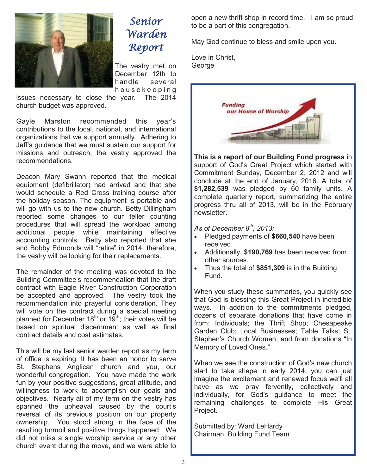

# Senior Warden Report

The vestry met on December 12th to handle several h o u s e k e e p i n g

issues necessary to close the year. The 2014 church budget was approved.

Gayle Marston recommended this year's contributions to the local, national, and international organizations that we support annually. Adhering to Jeff's guidance that we must sustain our support for missions and outreach, the vestry approved the recommendations.

Deacon Mary Swann reported that the medical equipment (defibrillator) had arrived and that she would schedule a Red Cross training course after the holiday season. The equipment is portable and will go with us to the new church. Betty Dillingham reported some changes to our teller counting procedures that will spread the workload among additional people while maintaining effective accounting controls. Betty also reported that she and Bobby Edmonds will "retire" in 2014; therefore, the vestry will be looking for their replacements.

The remainder of the meeting was devoted to the Building Committee's recommendation that the draft contract with Eagle River Construction Corporation be accepted and approved. The vestry took the recommendation into prayerful consideration. They will vote on the contract during a special meeting planned for December 18<sup>th</sup> or 19<sup>th</sup>; their votes will be based on spiritual discernment as well as final contract details and cost estimates.

This will be my last senior warden report as my term of office is expiring. It has been an honor to serve St. Stephens Anglican church and you, our wonderful congregation. You have made the work fun by your positive suggestions, great attitude, and willingness to work to accomplish our goals and objectives. Nearly all of my term on the vestry has spanned the upheaval caused by the court's reversal of its previous position on our property ownership. You stood strong in the face of the resulting turmoil and positive things happened. We did not miss a single worship service or any other church event during the move, and we were able to

open a new thrift shop in record time. I am so proud to be a part of this congregation.

May God continue to bless and smile upon you.

Love in Christ, George



**This is a report of our Building Fund progress** in support of God's Great Project which started with Commitment Sunday, December 2, 2012 and will conclude at the end of January, 2016. A total of **\$1,282,539** was pledged by 60 family units. A complete quarterly report, summarizing the entire progress thru all of 2013, will be in the February newsletter.

*As of December 8th, 2013:* 

- x Pledged payments of **\$660,540** have been received.
- Additionally, \$190,769 has been received from other sources.
- x Thus the total of **\$851,309** is in the Building Fund.

When you study these summaries, you quickly see that God is blessing this Great Project in incredible ways. In addition to the commitments pledged, dozens of separate donations that have come in from: Individuals; the Thrift Shop; Chesapeake Garden Club; Local Businesses; Table Talks; St. Stephen's Church Women; and from donations "In Memory of Loved Ones."

When we see the construction of God's new church start to take shape in early 2014, you can just imagine the excitement and renewed focus we'll all have as we pray fervently, collectively and individually, for God's guidance to meet the remaining challenges to complete His Great Project.

Submitted by: Ward LeHardy Chairman, Building Fund Team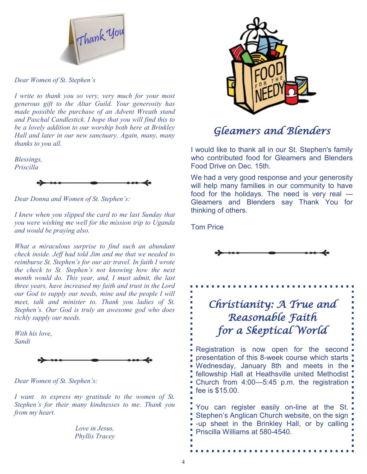

*Dear Women of St. Stephen's*

*I write to thank you so very, very much for your most generous gift to the Altar Guild. Your generosity has made possible the purchase of an Advent Wreath stand and Paschal Candlestick. I hope that you will find this to be a lovely addition to our worship both here at Brinkley Hall and later in our new sanctuary. Again, many, many thanks to you all.* 

*Blessings, Priscilla* 



*Dear Donna and Women of St. Stephen's:*

*I knew when you slipped the card to me last Sunday that you were wishing me well for the mission trip to Uganda and would be praying also.* 

*What a miraculous surprise to find such an abundant check inside. Jeff had told Jim and me that we needed to reimburse St. Stephen's for our air travel. In faith I wrote the check to St. Stephen's not knowing how the next month would do. This year, and, I must admit, the last three years, have increased my faith and trust in the Lord our God to supply our needs, mine and the people I will meet, talk and minister to. Thank you ladies of St. Stephen's. Our God is truly an awesome god who does richly supply our needs.* 

*With his love, Sandi* 



*Dear Women of St. Stephen's:*

*I want to express my gratitude to the women of St. Stephen's for their many kindnesses to me. Thank you from my heart.* 

> *Love in Jesus, Phyllis Tracey*



## Gleamers and Blenders

I would like to thank all in our St. Stephen's family who contributed food for Gleamers and Blenders Food Drive on Dec. 15th.

We had a very good response and your generosity will help many families in our community to have food for the holidays. The need is very real --- Gleamers and Blenders say Thank You for thinking of others.

Tom Price



## Christianity: A True and Reasonable Faith for a Skeptical World

Registration is now open for the second presentation of this 8-week course which starts Wednesday, January 8th and meets in the fellowship Hall at Heathsville united Methodist Church from 4:00—5:45 p.m. the registration fee is \$15.00.

You can register easily on-line at the St. Stephen's Anglican Church website, on the sign -up sheet in the Brinkley Hall, or by calling Priscilla Williams at 580-4540.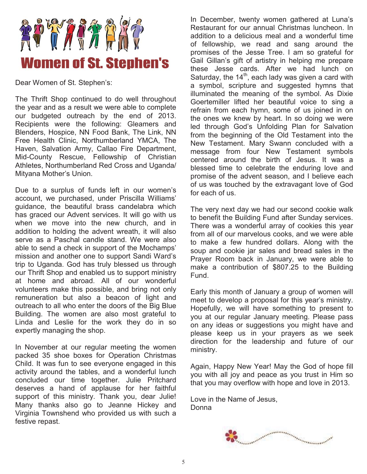

Dear Women of St. Stephen's:

The Thrift Shop continued to do well throughout the year and as a result we were able to complete our budgeted outreach by the end of 2013. Recipients were the following: Gleamers and Blenders, Hospice, NN Food Bank, The Link, NN Free Health Clinic, Northumberland YMCA, The Haven, Salvation Army, Callao Fire Department, Mid-County Rescue, Fellowship of Christian Athletes, Northumberland Red Cross and Uganda/ Mityana Mother's Union.

Due to a surplus of funds left in our women's account, we purchased, under Priscilla Williams' guidance, the beautiful brass candelabra which has graced our Advent services. It will go with us when we move into the new church, and in addition to holding the advent wreath, it will also serve as a Paschal candle stand. We were also able to send a check in support of the Mochamps' mission and another one to support Sandi Ward's trip to Uganda. God has truly blessed us through our Thrift Shop and enabled us to support ministry at home and abroad. All of our wonderful volunteers make this possible, and bring not only remuneration but also a beacon of light and outreach to all who enter the doors of the Big Blue Building. The women are also most grateful to Linda and Leslie for the work they do in so expertly managing the shop.

In November at our regular meeting the women packed 35 shoe boxes for Operation Christmas Child. It was fun to see everyone engaged in this activity around the tables, and a wonderful lunch concluded our time together. Julie Pritchard deserves a hand of applause for her faithful support of this ministry. Thank you, dear Julie! Many thanks also go to Jeanne Hickey and Virginia Townshend who provided us with such a festive repast.

In December, twenty women gathered at Luna's Restaurant for our annual Christmas luncheon. In addition to a delicious meal and a wonderful time of fellowship, we read and sang around the promises of the Jesse Tree. I am so grateful for Gail Gillan's gift of artistry in helping me prepare these Jesse cards. After we had lunch on Saturday, the  $14<sup>th</sup>$ , each lady was given a card with a symbol, scripture and suggested hymns that illuminated the meaning of the symbol. As Dixie Goertemiller lifted her beautiful voice to sing a refrain from each hymn, some of us joined in on the ones we knew by heart. In so doing we were led through God's Unfolding Plan for Salvation from the beginning of the Old Testament into the New Testament. Mary Swann concluded with a message from four New Testament symbols centered around the birth of Jesus. It was a blessed time to celebrate the enduring love and promise of the advent season, and I believe each of us was touched by the extravagant love of God for each of us.

The very next day we had our second cookie walk to benefit the Building Fund after Sunday services. There was a wonderful array of cookies this year from all of our marvelous cooks, and we were able to make a few hundred dollars. Along with the soup and cookie jar sales and bread sales in the Prayer Room back in January, we were able to make a contribution of \$807.25 to the Building Fund.

Early this month of January a group of women will meet to develop a proposal for this year's ministry. Hopefully, we will have something to present to you at our regular January meeting. Please pass on any ideas or suggestions you might have and please keep us in your prayers as we seek direction for the leadership and future of our ministry.

Again, Happy New Year! May the God of hope fill you with all joy and peace as you trust in Him so that you may overflow with hope and love in 2013.

Love in the Name of Jesus, Donna

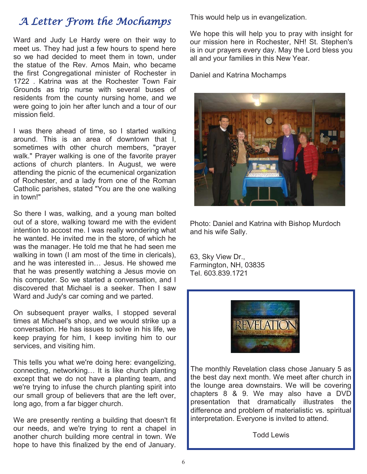# A Letter From the Mochamps

Ward and Judy Le Hardy were on their way to meet us. They had just a few hours to spend here so we had decided to meet them in town, under the statue of the Rev. Amos Main, who became the first Congregational minister of Rochester in 1722 . Katrina was at the Rochester Town Fair Grounds as trip nurse with several buses of residents from the county nursing home, and we were going to join her after lunch and a tour of our mission field.

I was there ahead of time, so I started walking around. This is an area of downtown that I, sometimes with other church members, "prayer walk." Prayer walking is one of the favorite prayer actions of church planters. In August, we were attending the picnic of the ecumenical organization of Rochester, and a lady from one of the Roman Catholic parishes, stated "You are the one walking in town!"

So there I was, walking, and a young man bolted out of a store, walking toward me with the evident intention to accost me. I was really wondering what he wanted. He invited me in the store, of which he was the manager. He told me that he had seen me walking in town (I am most of the time in clericals), and he was interested in… Jesus. He showed me that he was presently watching a Jesus movie on his computer. So we started a conversation, and I discovered that Michael is a seeker. Then I saw Ward and Judy's car coming and we parted.

On subsequent prayer walks, I stopped several times at Michael's shop, and we would strike up a conversation. He has issues to solve in his life, we keep praying for him, I keep inviting him to our services, and visiting him.

This tells you what we're doing here: evangelizing, connecting, networking… It is like church planting except that we do not have a planting team, and we're trying to infuse the church planting spirit into our small group of believers that are the left over, long ago, from a far bigger church.

We are presently renting a building that doesn't fit our needs, and we're trying to rent a chapel in another church building more central in town. We hope to have this finalized by the end of January.

This would help us in evangelization.

We hope this will help you to pray with insight for our mission here in Rochester, NH! St. Stephen's is in our prayers every day. May the Lord bless you all and your families in this New Year.

Daniel and Katrina Mochamps



Photo: Daniel and Katrina with Bishop Murdoch and his wife Sally.

63, Sky View Dr., Farmington, NH, 03835 Tel. 603.839.1721



The monthly Revelation class chose January 5 as the best day next month. We meet after church in the lounge area downstairs. We will be covering chapters 8 & 9. We may also have a DVD presentation that dramatically illustrates the difference and problem of materialistic vs. spiritual interpretation. Everyone is invited to attend.

Todd Lewis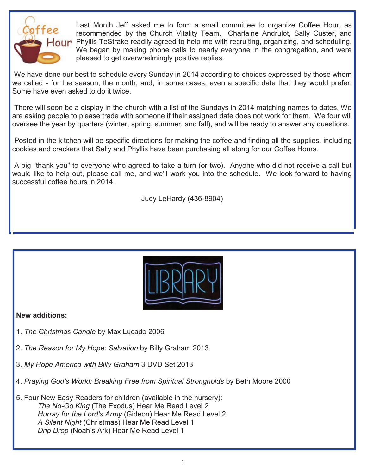

Last Month Jeff asked me to form a small committee to organize Coffee Hour, as recommended by the Church Vitality Team. Charlaine Andrulot, Sally Custer, and Hour Phyllis TeStrake readily agreed to help me with recruiting, organizing, and scheduling. We began by making phone calls to nearly everyone in the congregation, and were pleased to get overwhelmingly positive replies.

 We have done our best to schedule every Sunday in 2014 according to choices expressed by those whom we called - for the season, the month, and, in some cases, even a specific date that they would prefer. Some have even asked to do it twice.

 There will soon be a display in the church with a list of the Sundays in 2014 matching names to dates. We are asking people to please trade with someone if their assigned date does not work for them. We four will oversee the year by quarters (winter, spring, summer, and fall), and will be ready to answer any questions.

 Posted in the kitchen will be specific directions for making the coffee and finding all the supplies, including cookies and crackers that Sally and Phyllis have been purchasing all along for our Coffee Hours.

 A big "thank you" to everyone who agreed to take a turn (or two). Anyone who did not receive a call but would like to help out, please call me, and we'll work you into the schedule. We look forward to having successful coffee hours in 2014.

Judy LeHardy (436-8904)



### **New additions:**

- 1. *The Christmas Candle* by Max Lucado 2006
- 2. *The Reason for My Hope: Salvation* by Billy Graham 2013
- 3. *My Hope America with Billy Graham* 3 DVD Set 2013
- 4. *Praying God's World: Breaking Free from Spiritual Strongholds* by Beth Moore 2000
- 5. Four New Easy Readers for children (available in the nursery): *The No-Go King* (The Exodus) Hear Me Read Level 2 *Hurray for the Lord's Army* (Gideon) Hear Me Read Level 2 *A Silent Night* (Christmas) Hear Me Read Level 1  *Drip Drop* (Noah's Ark) Hear Me Read Level 1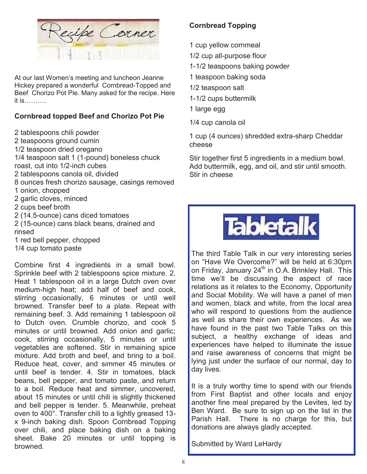

At our last Women's meeting and luncheon Jeanne Hickey prepared a wonderful Cornbread-Topped and Beef Chorizo Pot Pie. Many asked for the recipe. Here it is……….

### **Cornbread topped Beef and Chorizo Pot Pie**

2 tablespoons chili powder

2 teaspoons ground cumin

1/2 teaspoon dried oregano

1/4 teaspoon salt 1 (1-pound) boneless chuck

roast, cut into 1/2-inch cubes

2 tablespoons canola oil, divided

8 ounces fresh chorizo sausage, casings removed

1 onion, chopped

2 garlic cloves, minced

2 cups beef broth

2 (14.5-ounce) cans diced tomatoes

2 (15-ounce) cans black beans, drained and rinsed

1 red bell pepper, chopped

1/4 cup tomato paste

Combine first 4 ingredients in a small bowl. Sprinkle beef with 2 tablespoons spice mixture. 2. Heat 1 tablespoon oil in a large Dutch oven over medium-high heat; add half of beef and cook, stirring occasionally, 6 minutes or until well browned. Transfer beef to a plate. Repeat with remaining beef. 3. Add remaining 1 tablespoon oil to Dutch oven. Crumble chorizo, and cook 5 minutes or until browned. Add onion and garlic; cook, stirring occasionally, 5 minutes or until vegetables are softened. Stir in remaining spice mixture. Add broth and beef, and bring to a boil. Reduce heat, cover, and simmer 45 minutes or until beef is tender. 4. Stir in tomatoes, black beans, bell pepper, and tomato paste, and return to a boil. Reduce heat and simmer, uncovered, about 15 minutes or until chili is slightly thickened and bell pepper is tender. 5. Meanwhile, preheat oven to 400°. Transfer chili to a lightly greased 13 x 9-inch baking dish. Spoon Cornbread Topping over chili, and place baking dish on a baking sheet. Bake 20 minutes or until topping is browned.

### **Cornbread Topping**

- 1 cup yellow cornmeal
- 1/2 cup all-purpose flour

1-1/2 teaspoons baking powder

- 1 teaspoon baking soda
- 1/2 teaspoon salt
- 1-1/2 cups buttermilk
- 1 large egg
- 1/4 cup canola oil

1 cup (4 ounces) shredded extra-sharp Cheddar cheese

Stir together first 5 ingredients in a medium bowl. Add buttermilk, egg, and oil, and stir until smooth. Stir in cheese



The third Table Talk in our very interesting series on "Have We Overcome?" will be held at 6:30pm on Friday, January 24<sup>th</sup> in O.A. Brinkley Hall. This time we'll be discussing the aspect of race relations as it relates to the Economy, Opportunity and Social Mobility. We will have a panel of men and women, black and white, from the local area who will respond to questions from the audience as well as share their own experiences. As we have found in the past two Table Talks on this subject, a healthy exchange of ideas and experiences have helped to illuminate the issue and raise awareness of concerns that might be lying just under the surface of our normal, day to day lives.

It is a truly worthy time to spend with our friends from First Baptist and other locals and enjoy another fine meal prepared by the Levites, led by Ben Ward. Be sure to sign up on the list in the Parish Hall. There is no charge for this, but donations are always gladly accepted.

Submitted by Ward LeHardy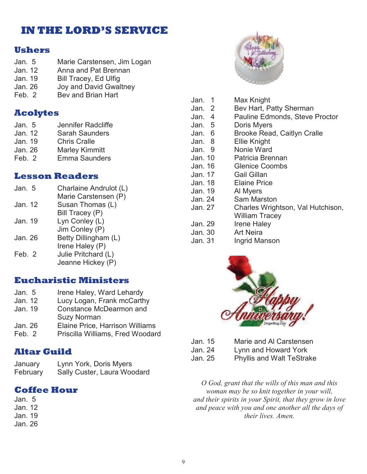## **IN THE LORD'S SERVICE**

### **Ushers**

- Jan. 5 Marie Carstensen, Jim Logan Jan. 12 Anna and Pat Brennan
- Jan. 19 Bill Tracey, Ed Ulfig
- Jan. 26 Joy and David Gwaltney
- Feb. 2 Bey and Brian Hart

## **Acolytes**

| Jan. 5  | Jennifer Radcliffe    |
|---------|-----------------------|
| Jan. 12 | <b>Sarah Saunders</b> |
| Jan. 19 | <b>Chris Cralle</b>   |
| Jan. 26 | <b>Marley Kimmitt</b> |
| Feb. 2  | <b>Emma Saunders</b>  |

### **Lesson Readers**

| Jan. 5  | Charlaine Andrulot (L) |
|---------|------------------------|
|         | Marie Carstensen (P)   |
| Jan. 12 | Susan Thomas (L)       |
|         | Bill Tracey (P)        |
| Jan. 19 | Lyn Conley (L)         |
|         | Jim Conley (P)         |
| Jan. 26 | Betty Dillingham (L)   |
|         | Irene Haley (P)        |
| Feb. 2  | Julie Pritchard (L)    |
|         | Jeanne Hickey (P)      |
|         |                        |

### **Eucharistic Ministers**

| Jan. 5  | Irene Haley, Ward Lehardy        |
|---------|----------------------------------|
| Jan. 12 | Lucy Logan, Frank mcCarthy       |
| Jan. 19 | <b>Constance McDearmon and</b>   |
|         | <b>Suzy Norman</b>               |
| Jan. 26 | Elaine Price, Harrison Williams  |
| Feb. 2  | Priscilla Williams, Fred Woodard |

### **Altar Guild**

| January  | Lynn York, Doris Myers      |
|----------|-----------------------------|
| February | Sally Custer, Laura Woodard |

### **Coffee Hour**

Jan. 5 Jan. 12 Jan. 19 Jan. 26



| Jan.<br>-1 | Max Knight                            |
|------------|---------------------------------------|
| Jan. 2     | Bev Hart, Patty Sherman               |
| Jan. 4     | <b>Pauline Edmonds, Steve Proctor</b> |
| Jan. 5     | Doris Myers                           |
| Jan. 6     | <b>Brooke Read, Caitlyn Cralle</b>    |
| Jan. 8     | Ellie Knight                          |
| Jan. 9     | Nonie Ward                            |
| Jan. 10    | Patricia Brennan                      |
| Jan. 16    | <b>Glenice Coombs</b>                 |
| Jan. 17    | Gail Gillan                           |
| Jan. 18    | <b>Elaine Price</b>                   |
| Jan. 19    | Al Myers                              |
| Jan. 24    | Sam Marston                           |
| Jan. 27    | Charles Wrightson, Val Hutchison,     |
|            | <b>William Tracey</b>                 |
| Jan. 29    | <b>Irene Haley</b>                    |
| Jan. 30    | <b>Art Neira</b>                      |
| Jan. 31    | Ingrid Manson                         |



Jan. 15 Marie and Al Carstensen

Jan. 24 Lynn and Howard York

Jan. 25 Phyllis and Walt TeStrake

*O God, grant that the wills of this man and this woman may be so knit together in your will, and their spirits in your Spirit, that they grow in love and peace with you and one another all the days of their lives. Amen.*